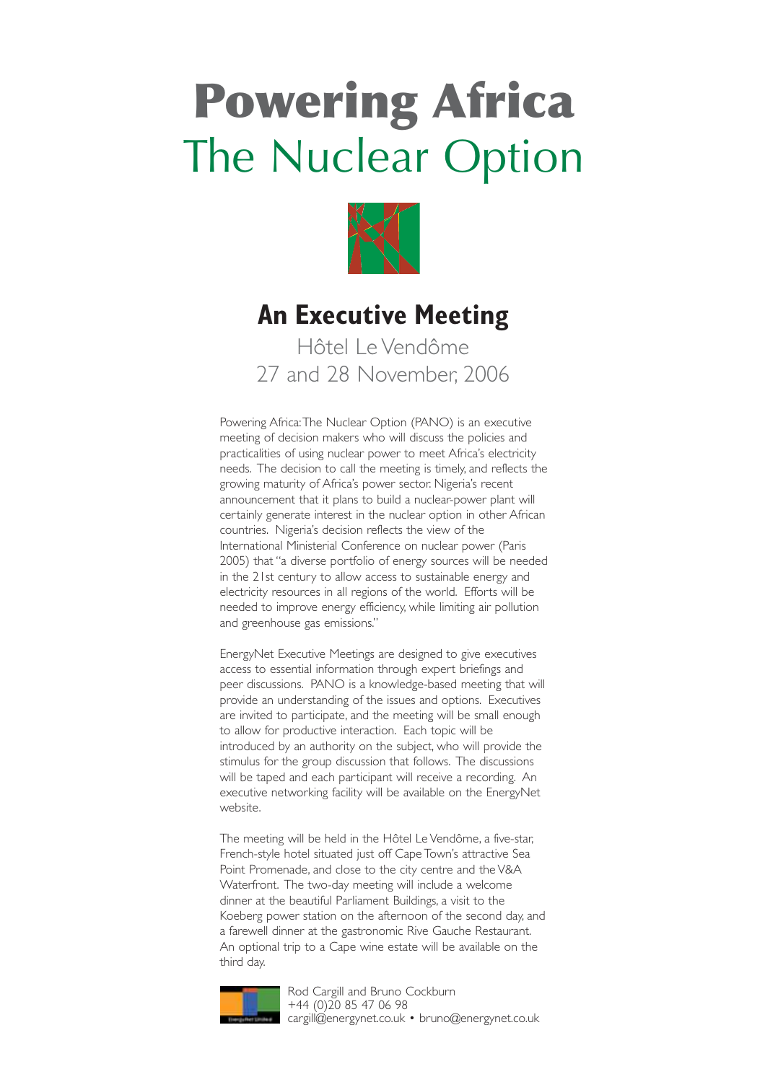# **Powering Africa** The Nuclear Option



### **An Executive Meeting**

Hôtel Le Vendôme 27 and 28 November, 2006

Powering Africa:The Nuclear Option (PANO) is an executive meeting of decision makers who will discuss the policies and practicalities of using nuclear power to meet Africa's electricity needs. The decision to call the meeting is timely, and reflects the growing maturity of Africa's power sector. Nigeria's recent announcement that it plans to build a nuclear-power plant will certainly generate interest in the nuclear option in other African countries. Nigeria's decision reflects the view of the International Ministerial Conference on nuclear power (Paris 2005) that "a diverse portfolio of energy sources will be needed in the 21st century to allow access to sustainable energy and electricity resources in all regions of the world. Efforts will be needed to improve energy efficiency, while limiting air pollution and greenhouse gas emissions."

EnergyNet Executive Meetings are designed to give executives access to essential information through expert briefings and peer discussions. PANO is a knowledge-based meeting that will provide an understanding of the issues and options. Executives are invited to participate, and the meeting will be small enough to allow for productive interaction. Each topic will be introduced by an authority on the subject, who will provide the stimulus for the group discussion that follows. The discussions will be taped and each participant will receive a recording. An executive networking facility will be available on the EnergyNet website.

The meeting will be held in the Hôtel Le Vendôme, a five-star, French-style hotel situated just off Cape Town's attractive Sea Point Promenade, and close to the city centre and the V&A Waterfront. The two-day meeting will include a welcome dinner at the beautiful Parliament Buildings, a visit to the Koeberg power station on the afternoon of the second day, and a farewell dinner at the gastronomic Rive Gauche Restaurant. An optional trip to a Cape wine estate will be available on the third day.



Rod Cargill and Bruno Cockburn +44 (0)20 85 47 06 98 cargill@energynet.co.uk • bruno@energynet.co.uk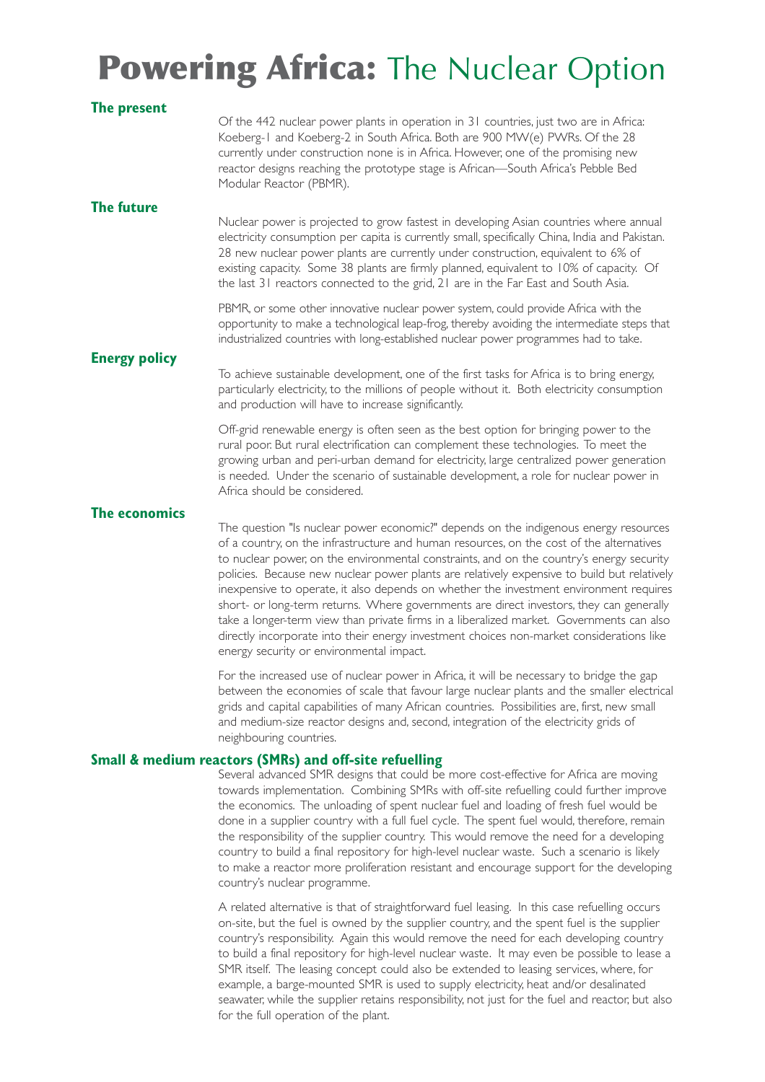## **Powering Africa: The Nuclear Option**

| The present          |                                                                                                                                                                                                                                                                                                                                                                                                                                                                                                                                                                                                                                                                                                                                                                                                      |
|----------------------|------------------------------------------------------------------------------------------------------------------------------------------------------------------------------------------------------------------------------------------------------------------------------------------------------------------------------------------------------------------------------------------------------------------------------------------------------------------------------------------------------------------------------------------------------------------------------------------------------------------------------------------------------------------------------------------------------------------------------------------------------------------------------------------------------|
|                      | Of the 442 nuclear power plants in operation in 31 countries, just two are in Africa:<br>Koeberg-1 and Koeberg-2 in South Africa. Both are 900 MW(e) PWRs. Of the 28<br>currently under construction none is in Africa. However, one of the promising new<br>reactor designs reaching the prototype stage is African-South Africa's Pebble Bed<br>Modular Reactor (PBMR).                                                                                                                                                                                                                                                                                                                                                                                                                            |
| The future           | Nuclear power is projected to grow fastest in developing Asian countries where annual                                                                                                                                                                                                                                                                                                                                                                                                                                                                                                                                                                                                                                                                                                                |
|                      | electricity consumption per capita is currently small, specifically China, India and Pakistan.<br>28 new nuclear power plants are currently under construction, equivalent to 6% of<br>existing capacity. Some 38 plants are firmly planned, equivalent to 10% of capacity. Of<br>the last 31 reactors connected to the grid, 21 are in the Far East and South Asia.                                                                                                                                                                                                                                                                                                                                                                                                                                 |
|                      | PBMR, or some other innovative nuclear power system, could provide Africa with the<br>opportunity to make a technological leap-frog, thereby avoiding the intermediate steps that<br>industrialized countries with long-established nuclear power programmes had to take.                                                                                                                                                                                                                                                                                                                                                                                                                                                                                                                            |
| <b>Energy policy</b> |                                                                                                                                                                                                                                                                                                                                                                                                                                                                                                                                                                                                                                                                                                                                                                                                      |
|                      | To achieve sustainable development, one of the first tasks for Africa is to bring energy,<br>particularly electricity, to the millions of people without it. Both electricity consumption<br>and production will have to increase significantly.                                                                                                                                                                                                                                                                                                                                                                                                                                                                                                                                                     |
|                      | Off-grid renewable energy is often seen as the best option for bringing power to the<br>rural poor. But rural electrification can complement these technologies. To meet the<br>growing urban and peri-urban demand for electricity, large centralized power generation<br>is needed. Under the scenario of sustainable development, a role for nuclear power in<br>Africa should be considered.                                                                                                                                                                                                                                                                                                                                                                                                     |
| The economics        |                                                                                                                                                                                                                                                                                                                                                                                                                                                                                                                                                                                                                                                                                                                                                                                                      |
|                      | The question "Is nuclear power economic?" depends on the indigenous energy resources<br>of a country, on the infrastructure and human resources, on the cost of the alternatives<br>to nuclear power, on the environmental constraints, and on the country's energy security<br>policies. Because new nuclear power plants are relatively expensive to build but relatively<br>inexpensive to operate, it also depends on whether the investment environment requires<br>short- or long-term returns. Where governments are direct investors, they can generally<br>take a longer-term view than private firms in a liberalized market. Governments can also<br>directly incorporate into their energy investment choices non-market considerations like<br>energy security or environmental impact. |
|                      | For the increased use of nuclear power in Africa, it will be necessary to bridge the gap<br>between the economies of scale that favour large nuclear plants and the smaller electrical<br>grids and capital capabilities of many African countries. Possibilities are, first, new small<br>and medium-size reactor designs and, second, integration of the electricity grids of                                                                                                                                                                                                                                                                                                                                                                                                                      |

#### **Small & medium reactors (SMRs) and off-site refuelling**

neighbouring countries.

Several advanced SMR designs that could be more cost-effective for Africa are moving towards implementation. Combining SMRs with off-site refuelling could further improve the economics. The unloading of spent nuclear fuel and loading of fresh fuel would be done in a supplier country with a full fuel cycle. The spent fuel would, therefore, remain the responsibility of the supplier country. This would remove the need for a developing country to build a final repository for high-level nuclear waste. Such a scenario is likely to make a reactor more proliferation resistant and encourage support for the developing country's nuclear programme.

A related alternative is that of straightforward fuel leasing. In this case refuelling occurs on-site, but the fuel is owned by the supplier country, and the spent fuel is the supplier country's responsibility. Again this would remove the need for each developing country to build a final repository for high-level nuclear waste. It may even be possible to lease a SMR itself. The leasing concept could also be extended to leasing services, where, for example, a barge-mounted SMR is used to supply electricity, heat and/or desalinated seawater, while the supplier retains responsibility, not just for the fuel and reactor, but also for the full operation of the plant.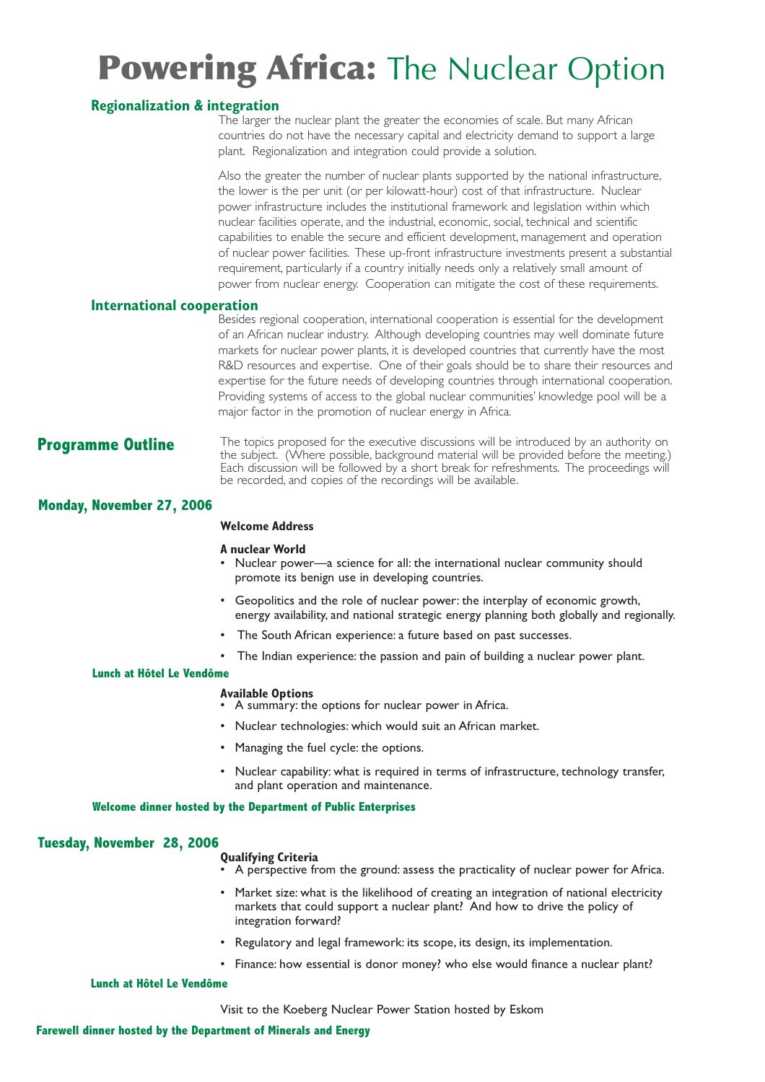## **Powering Africa: The Nuclear Option**

#### **Regionalization & integration**

The larger the nuclear plant the greater the economies of scale. But many African countries do not have the necessary capital and electricity demand to support a large plant. Regionalization and integration could provide a solution.

Also the greater the number of nuclear plants supported by the national infrastructure, the lower is the per unit (or per kilowatt-hour) cost of that infrastructure. Nuclear power infrastructure includes the institutional framework and legislation within which nuclear facilities operate, and the industrial, economic, social, technical and scientific capabilities to enable the secure and efficient development, management and operation of nuclear power facilities. These up-front infrastructure investments present a substantial requirement, particularly if a country initially needs only a relatively small amount of power from nuclear energy. Cooperation can mitigate the cost of these requirements.

#### **International cooperation**

Besides regional cooperation, international cooperation is essential for the development of an African nuclear industry. Although developing countries may well dominate future markets for nuclear power plants, it is developed countries that currently have the most R&D resources and expertise. One of their goals should be to share their resources and expertise for the future needs of developing countries through international cooperation. Providing systems of access to the global nuclear communities' knowledge pool will be a major factor in the promotion of nuclear energy in Africa.

**Programme Outline** The topics proposed for the executive discussions will be introduced by an authority on the subject. (Where possible, background material will be provided before the meeting.) Each discussion will be followed by a short break for refreshments. The proceedings will be recorded, and copies of the recordings will be available.

#### **Monday, November 27, 2006**

#### **Welcome Address**

#### **A nuclear World**

- Nuclear power—a science for all: the international nuclear community should promote its benign use in developing countries.
- Geopolitics and the role of nuclear power: the interplay of economic growth, energy availability, and national strategic energy planning both globally and regionally.
- The South African experience: a future based on past successes.
- The Indian experience: the passion and pain of building a nuclear power plant.

#### **Lunch at Hôtel Le Vendôme**

#### **Available Options**

- A summary: the options for nuclear power in Africa.
- Nuclear technologies: which would suit an African market.
- Managing the fuel cycle: the options.
- Nuclear capability: what is required in terms of infrastructure, technology transfer, and plant operation and maintenance.

#### **Welcome dinner hosted by the Department of Public Enterprises**

#### **Tuesday, November 28, 2006**

#### **Qualifying Criteria**

- A perspective from the ground: assess the practicality of nuclear power for Africa.
- Market size: what is the likelihood of creating an integration of national electricity markets that could support a nuclear plant? And how to drive the policy of integration forward?
- Regulatory and legal framework: its scope, its design, its implementation.
- Finance: how essential is donor money? who else would finance a nuclear plant?

#### **Lunch at Hôtel Le Vendôme**

Visit to the Koeberg Nuclear Power Station hosted by Eskom

#### **Farewell dinner hosted by the Department of Minerals and Energy**